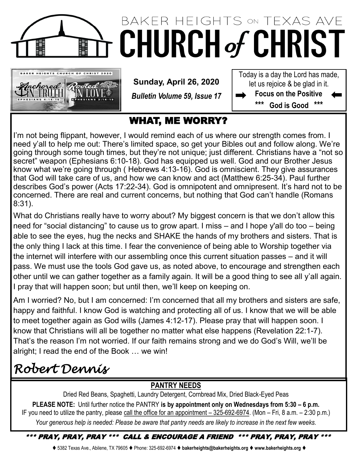

# BAKER HEIGHTS ON TEXAS AVE **CHURCH of CHRIST**



**Sunday, April 26, 2020**

*Bulletin Volume 59, Issue 17*

Today is a day the Lord has made, let us rejoice & be glad in it. **Focus on the Positive** 

**\*\*\* God is Good \*\*\***

### WHAT, ME WORRY?

I'm not being flippant, however, I would remind each of us where our strength comes from. I need y'all to help me out: There's limited space, so get your Bibles out and follow along. We're going through some tough times, but they're not unique; just different. Christians have a "not so secret" weapon (Ephesians 6:10-18). God has equipped us well. God and our Brother Jesus know what we're going through ( Hebrews 4:13-16). God is omniscient. They give assurances that God will take care of us, and how we can know and act (Matthew 6:25-34). Paul further describes God's power (Acts 17:22-34). God is omnipotent and omnipresent. It's hard not to be concerned. There are real and current concerns, but nothing that God can't handle (Romans 8:31).

What do Christians really have to worry about? My biggest concern is that we don't allow this need for "social distancing" to cause us to grow apart. I miss – and I hope y'all do too – being able to see the eyes, hug the necks and SHAKE the hands of my brothers and sisters. That is the only thing I lack at this time. I fear the convenience of being able to Worship together via the internet will interfere with our assembling once this current situation passes – and it will pass. We must use the tools God gave us, as noted above, to encourage and strengthen each other until we can gather together as a family again. It will be a good thing to see all y'all again. I pray that will happen soon; but until then, we'll keep on keeping on.

Am I worried? No, but I am concerned: I'm concerned that all my brothers and sisters are safe, happy and faithful. I know God is watching and protecting all of us. I know that we will be able to meet together again as God wills (James 4:12-17). Please pray that will happen soon. I know that Christians will all be together no matter what else happens (Revelation 22:1-7). That's the reason I'm not worried. If our faith remains strong and we do God's Will, we'll be alright; I read the end of the Book … we win!

## *Robert Dennis*

### **PANTRY NEEDS**

Dried Red Beans, Spaghetti, Laundry Detergent, Cornbread Mix, Dried Black-Eyed Peas **PLEASE NOTE:** Until further notice the PANTRY **is by appointment only on Wednesdays from 5:30 – 6 p.m.**  IF you need to utilize the pantry, please call the office for an appointment  $-325-692-6974$ . (Mon  $-$  Fri, 8 a.m.  $-2:30$  p.m.) *Your generous help is needed: Please be aware that pantry needs are likely to increase in the next few weeks.*

\*\*\* PRAY, PRAY, PRAY \*\*\* CALL & ENCOURAGE A FRIEND \*\*\* PRAY, PRAY, PRAY \*\*\*

⧫ 5382 Texas Ave., Abilene, TX 79605 ⧫ Phone: 325-692-6974 ⧫ **bakerheights@bakerheights.org** ⧫ **www.bakerheights.org** ⧫